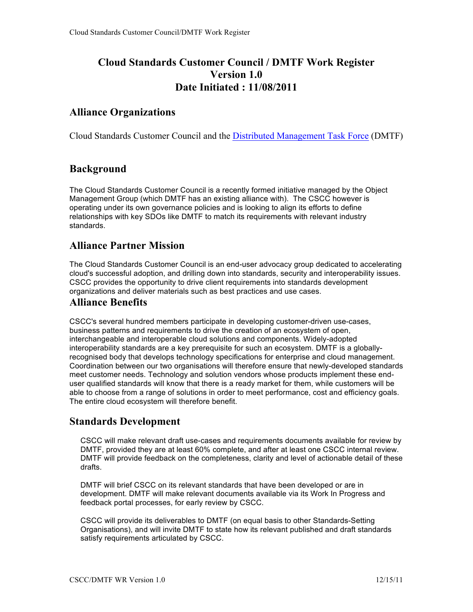# **Cloud Standards Customer Council / DMTF Work Register Version 1.0 Date Initiated : 11/08/2011**

### **Alliance Organizations**

Cloud Standards Customer Council and the Distributed Management Task Force (DMTF)

### **Background**

The Cloud Standards Customer Council is a recently formed initiative managed by the Object Management Group (which DMTF has an existing alliance with). The CSCC however is operating under its own governance policies and is looking to align its efforts to define relationships with key SDOs like DMTF to match its requirements with relevant industry standards.

#### **Alliance Partner Mission**

The Cloud Standards Customer Council is an end-user advocacy group dedicated to accelerating cloud's successful adoption, and drilling down into standards, security and interoperability issues. CSCC provides the opportunity to drive client requirements into standards development organizations and deliver materials such as best practices and use cases.

#### **Alliance Benefits**

CSCC's several hundred members participate in developing customer-driven use-cases, business patterns and requirements to drive the creation of an ecosystem of open, interchangeable and interoperable cloud solutions and components. Widely-adopted interoperability standards are a key prerequisite for such an ecosystem. DMTF is a globallyrecognised body that develops technology specifications for enterprise and cloud management. Coordination between our two organisations will therefore ensure that newly-developed standards meet customer needs. Technology and solution vendors whose products implement these enduser qualified standards will know that there is a ready market for them, while customers will be able to choose from a range of solutions in order to meet performance, cost and efficiency goals. The entire cloud ecosystem will therefore benefit.

#### **Standards Development**

CSCC will make relevant draft use-cases and requirements documents available for review by DMTF, provided they are at least 60% complete, and after at least one CSCC internal review. DMTF will provide feedback on the completeness, clarity and level of actionable detail of these drafts.

DMTF will brief CSCC on its relevant standards that have been developed or are in development. DMTF will make relevant documents available via its Work In Progress and feedback portal processes, for early review by CSCC.

CSCC will provide its deliverables to DMTF (on equal basis to other Standards-Setting Organisations), and will invite DMTF to state how its relevant published and draft standards satisfy requirements articulated by CSCC.